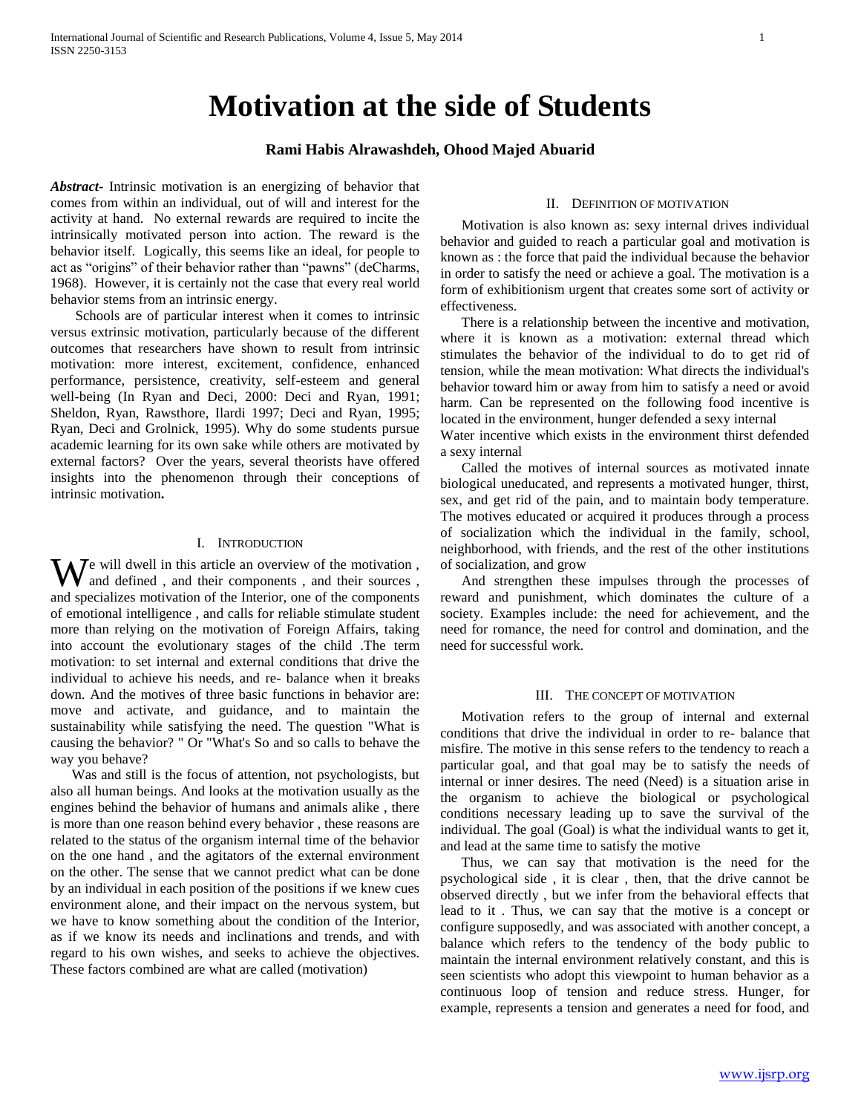# **Motivation at the side of Students**

# **Rami Habis Alrawashdeh, Ohood Majed Abuarid**

*Abstract***-** Intrinsic motivation is an energizing of behavior that comes from within an individual, out of will and interest for the activity at hand. No external rewards are required to incite the intrinsically motivated person into action. The reward is the behavior itself. Logically, this seems like an ideal, for people to act as "origins" of their behavior rather than "pawns" (deCharms, 1968). However, it is certainly not the case that every real world behavior stems from an intrinsic energy.

 Schools are of particular interest when it comes to intrinsic versus extrinsic motivation, particularly because of the different outcomes that researchers have shown to result from intrinsic motivation: more interest, excitement, confidence, enhanced performance, persistence, creativity, self-esteem and general well-being (In Ryan and Deci, 2000: Deci and Ryan, 1991; Sheldon, Ryan, Rawsthore, Ilardi 1997; Deci and Ryan, 1995; Ryan, Deci and Grolnick, 1995). Why do some students pursue academic learning for its own sake while others are motivated by external factors? Over the years, several theorists have offered insights into the phenomenon through their conceptions of intrinsic motivation**.** 

## I. INTRODUCTION

e will dwell in this article an overview of the motivation , We will dwell in this article an overview of the motivation, and their sources , and their sources , and specializes motivation of the Interior, one of the components of emotional intelligence , and calls for reliable stimulate student more than relying on the motivation of Foreign Affairs, taking into account the evolutionary stages of the child .The term motivation: to set internal and external conditions that drive the individual to achieve his needs, and re- balance when it breaks down. And the motives of three basic functions in behavior are: move and activate, and guidance, and to maintain the sustainability while satisfying the need. The question "What is causing the behavior? " Or "What's So and so calls to behave the way you behave?

 Was and still is the focus of attention, not psychologists, but also all human beings. And looks at the motivation usually as the engines behind the behavior of humans and animals alike , there is more than one reason behind every behavior , these reasons are related to the status of the organism internal time of the behavior on the one hand , and the agitators of the external environment on the other. The sense that we cannot predict what can be done by an individual in each position of the positions if we knew cues environment alone, and their impact on the nervous system, but we have to know something about the condition of the Interior, as if we know its needs and inclinations and trends, and with regard to his own wishes, and seeks to achieve the objectives. These factors combined are what are called (motivation)

#### II. DEFINITION OF MOTIVATION

 Motivation is also known as: sexy internal drives individual behavior and guided to reach a particular goal and motivation is known as : the force that paid the individual because the behavior in order to satisfy the need or achieve a goal. The motivation is a form of exhibitionism urgent that creates some sort of activity or effectiveness.

 There is a relationship between the incentive and motivation, where it is known as a motivation: external thread which stimulates the behavior of the individual to do to get rid of tension, while the mean motivation: What directs the individual's behavior toward him or away from him to satisfy a need or avoid harm. Can be represented on the following food incentive is located in the environment, hunger defended a sexy internal Water incentive which exists in the environment thirst defended a sexy internal

 Called the motives of internal sources as motivated innate biological uneducated, and represents a motivated hunger, thirst, sex, and get rid of the pain, and to maintain body temperature. The motives educated or acquired it produces through a process of socialization which the individual in the family, school, neighborhood, with friends, and the rest of the other institutions of socialization, and grow

 And strengthen these impulses through the processes of reward and punishment, which dominates the culture of a society. Examples include: the need for achievement, and the need for romance, the need for control and domination, and the need for successful work.

#### III. THE CONCEPT OF MOTIVATION

 Motivation refers to the group of internal and external conditions that drive the individual in order to re- balance that misfire. The motive in this sense refers to the tendency to reach a particular goal, and that goal may be to satisfy the needs of internal or inner desires. The need (Need) is a situation arise in the organism to achieve the biological or psychological conditions necessary leading up to save the survival of the individual. The goal (Goal) is what the individual wants to get it, and lead at the same time to satisfy the motive

 Thus, we can say that motivation is the need for the psychological side , it is clear , then, that the drive cannot be observed directly , but we infer from the behavioral effects that lead to it . Thus, we can say that the motive is a concept or configure supposedly, and was associated with another concept, a balance which refers to the tendency of the body public to maintain the internal environment relatively constant, and this is seen scientists who adopt this viewpoint to human behavior as a continuous loop of tension and reduce stress. Hunger, for example, represents a tension and generates a need for food, and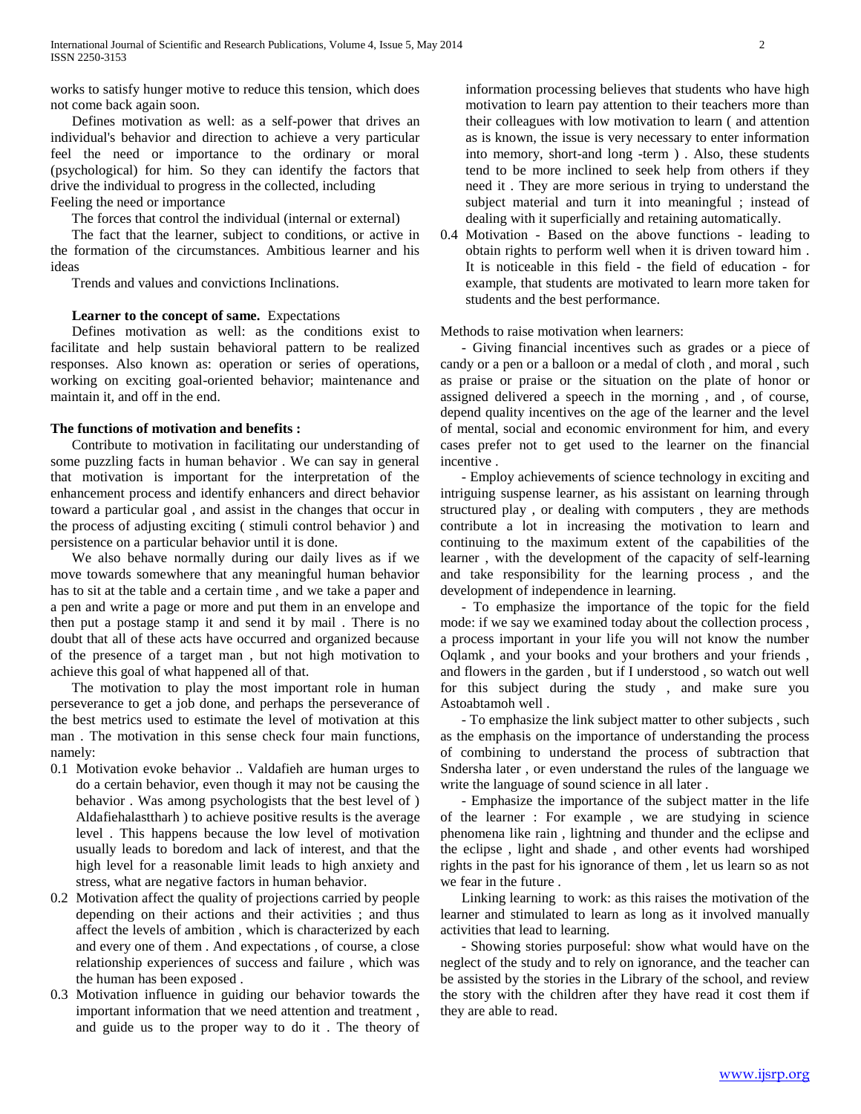works to satisfy hunger motive to reduce this tension, which does not come back again soon.

 Defines motivation as well: as a self-power that drives an individual's behavior and direction to achieve a very particular feel the need or importance to the ordinary or moral (psychological) for him. So they can identify the factors that drive the individual to progress in the collected, including Feeling the need or importance

The forces that control the individual (internal or external)

 The fact that the learner, subject to conditions, or active in the formation of the circumstances. Ambitious learner and his ideas

Trends and values and convictions Inclinations.

### **Learner to the concept of same.** Expectations

 Defines motivation as well: as the conditions exist to facilitate and help sustain behavioral pattern to be realized responses. Also known as: operation or series of operations, working on exciting goal-oriented behavior; maintenance and maintain it, and off in the end.

## **The functions of motivation and benefits :**

 Contribute to motivation in facilitating our understanding of some puzzling facts in human behavior . We can say in general that motivation is important for the interpretation of the enhancement process and identify enhancers and direct behavior toward a particular goal , and assist in the changes that occur in the process of adjusting exciting ( stimuli control behavior ) and persistence on a particular behavior until it is done.

 We also behave normally during our daily lives as if we move towards somewhere that any meaningful human behavior has to sit at the table and a certain time , and we take a paper and a pen and write a page or more and put them in an envelope and then put a postage stamp it and send it by mail . There is no doubt that all of these acts have occurred and organized because of the presence of a target man , but not high motivation to achieve this goal of what happened all of that.

 The motivation to play the most important role in human perseverance to get a job done, and perhaps the perseverance of the best metrics used to estimate the level of motivation at this man . The motivation in this sense check four main functions, namely:

- 0.1 Motivation evoke behavior .. Valdafieh are human urges to do a certain behavior, even though it may not be causing the behavior . Was among psychologists that the best level of ) Aldafiehalasttharh ) to achieve positive results is the average level . This happens because the low level of motivation usually leads to boredom and lack of interest, and that the high level for a reasonable limit leads to high anxiety and stress, what are negative factors in human behavior.
- 0.2 Motivation affect the quality of projections carried by people depending on their actions and their activities ; and thus affect the levels of ambition , which is characterized by each and every one of them . And expectations , of course, a close relationship experiences of success and failure , which was the human has been exposed .
- 0.3 Motivation influence in guiding our behavior towards the important information that we need attention and treatment , and guide us to the proper way to do it . The theory of

information processing believes that students who have high motivation to learn pay attention to their teachers more than their colleagues with low motivation to learn ( and attention as is known, the issue is very necessary to enter information into memory, short-and long -term ) . Also, these students tend to be more inclined to seek help from others if they need it . They are more serious in trying to understand the subject material and turn it into meaningful ; instead of dealing with it superficially and retaining automatically.

0.4 Motivation - Based on the above functions - leading to obtain rights to perform well when it is driven toward him . It is noticeable in this field - the field of education - for example, that students are motivated to learn more taken for students and the best performance.

Methods to raise motivation when learners:

 - Giving financial incentives such as grades or a piece of candy or a pen or a balloon or a medal of cloth , and moral , such as praise or praise or the situation on the plate of honor or assigned delivered a speech in the morning , and , of course, depend quality incentives on the age of the learner and the level of mental, social and economic environment for him, and every cases prefer not to get used to the learner on the financial incentive .

 - Employ achievements of science technology in exciting and intriguing suspense learner, as his assistant on learning through structured play , or dealing with computers , they are methods contribute a lot in increasing the motivation to learn and continuing to the maximum extent of the capabilities of the learner , with the development of the capacity of self-learning and take responsibility for the learning process , and the development of independence in learning.

 - To emphasize the importance of the topic for the field mode: if we say we examined today about the collection process , a process important in your life you will not know the number Oqlamk , and your books and your brothers and your friends , and flowers in the garden , but if I understood , so watch out well for this subject during the study , and make sure you Astoabtamoh well .

 - To emphasize the link subject matter to other subjects , such as the emphasis on the importance of understanding the process of combining to understand the process of subtraction that Sndersha later , or even understand the rules of the language we write the language of sound science in all later .

 - Emphasize the importance of the subject matter in the life of the learner : For example , we are studying in science phenomena like rain , lightning and thunder and the eclipse and the eclipse , light and shade , and other events had worshiped rights in the past for his ignorance of them , let us learn so as not we fear in the future .

 Linking learning to work: as this raises the motivation of the learner and stimulated to learn as long as it involved manually activities that lead to learning.

 - Showing stories purposeful: show what would have on the neglect of the study and to rely on ignorance, and the teacher can be assisted by the stories in the Library of the school, and review the story with the children after they have read it cost them if they are able to read.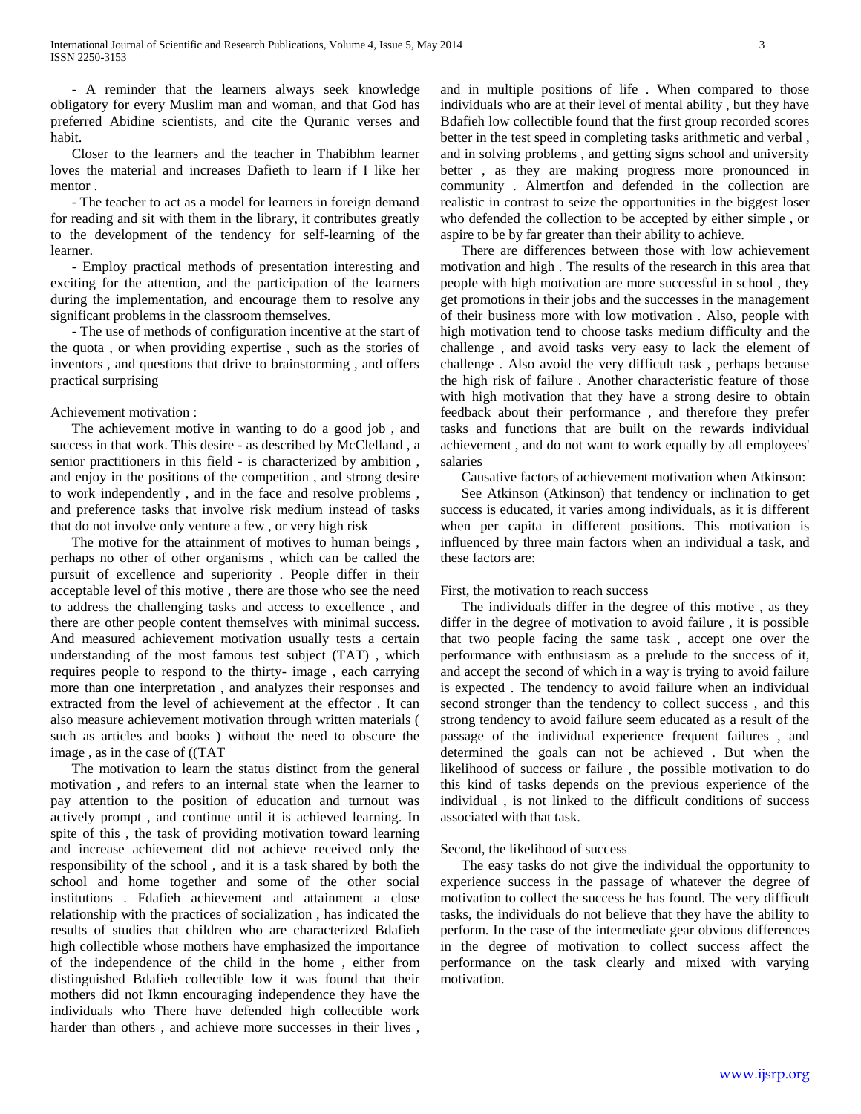- A reminder that the learners always seek knowledge obligatory for every Muslim man and woman, and that God has preferred Abidine scientists, and cite the Quranic verses and habit.

 Closer to the learners and the teacher in Thabibhm learner loves the material and increases Dafieth to learn if I like her mentor .

 - The teacher to act as a model for learners in foreign demand for reading and sit with them in the library, it contributes greatly to the development of the tendency for self-learning of the learner.

 - Employ practical methods of presentation interesting and exciting for the attention, and the participation of the learners during the implementation, and encourage them to resolve any significant problems in the classroom themselves.

 - The use of methods of configuration incentive at the start of the quota , or when providing expertise , such as the stories of inventors , and questions that drive to brainstorming , and offers practical surprising

### Achievement motivation :

 The achievement motive in wanting to do a good job , and success in that work. This desire - as described by McClelland , a senior practitioners in this field - is characterized by ambition , and enjoy in the positions of the competition , and strong desire to work independently , and in the face and resolve problems , and preference tasks that involve risk medium instead of tasks that do not involve only venture a few , or very high risk

 The motive for the attainment of motives to human beings , perhaps no other of other organisms , which can be called the pursuit of excellence and superiority . People differ in their acceptable level of this motive , there are those who see the need to address the challenging tasks and access to excellence , and there are other people content themselves with minimal success. And measured achievement motivation usually tests a certain understanding of the most famous test subject (TAT) , which requires people to respond to the thirty- image , each carrying more than one interpretation , and analyzes their responses and extracted from the level of achievement at the effector . It can also measure achievement motivation through written materials ( such as articles and books ) without the need to obscure the image , as in the case of ((TAT

 The motivation to learn the status distinct from the general motivation , and refers to an internal state when the learner to pay attention to the position of education and turnout was actively prompt , and continue until it is achieved learning. In spite of this , the task of providing motivation toward learning and increase achievement did not achieve received only the responsibility of the school , and it is a task shared by both the school and home together and some of the other social institutions . Fdafieh achievement and attainment a close relationship with the practices of socialization , has indicated the results of studies that children who are characterized Bdafieh high collectible whose mothers have emphasized the importance of the independence of the child in the home , either from distinguished Bdafieh collectible low it was found that their mothers did not Ikmn encouraging independence they have the individuals who There have defended high collectible work harder than others , and achieve more successes in their lives ,

and in multiple positions of life . When compared to those individuals who are at their level of mental ability , but they have Bdafieh low collectible found that the first group recorded scores better in the test speed in completing tasks arithmetic and verbal , and in solving problems , and getting signs school and university better , as they are making progress more pronounced in community . Almertfon and defended in the collection are realistic in contrast to seize the opportunities in the biggest loser who defended the collection to be accepted by either simple , or aspire to be by far greater than their ability to achieve.

 There are differences between those with low achievement motivation and high . The results of the research in this area that people with high motivation are more successful in school , they get promotions in their jobs and the successes in the management of their business more with low motivation . Also, people with high motivation tend to choose tasks medium difficulty and the challenge , and avoid tasks very easy to lack the element of challenge . Also avoid the very difficult task , perhaps because the high risk of failure . Another characteristic feature of those with high motivation that they have a strong desire to obtain feedback about their performance , and therefore they prefer tasks and functions that are built on the rewards individual achievement , and do not want to work equally by all employees' salaries

Causative factors of achievement motivation when Atkinson:

 See Atkinson (Atkinson) that tendency or inclination to get success is educated, it varies among individuals, as it is different when per capita in different positions. This motivation is influenced by three main factors when an individual a task, and these factors are:

### First, the motivation to reach success

 The individuals differ in the degree of this motive , as they differ in the degree of motivation to avoid failure , it is possible that two people facing the same task , accept one over the performance with enthusiasm as a prelude to the success of it, and accept the second of which in a way is trying to avoid failure is expected . The tendency to avoid failure when an individual second stronger than the tendency to collect success , and this strong tendency to avoid failure seem educated as a result of the passage of the individual experience frequent failures , and determined the goals can not be achieved . But when the likelihood of success or failure , the possible motivation to do this kind of tasks depends on the previous experience of the individual , is not linked to the difficult conditions of success associated with that task.

### Second, the likelihood of success

 The easy tasks do not give the individual the opportunity to experience success in the passage of whatever the degree of motivation to collect the success he has found. The very difficult tasks, the individuals do not believe that they have the ability to perform. In the case of the intermediate gear obvious differences in the degree of motivation to collect success affect the performance on the task clearly and mixed with varying motivation.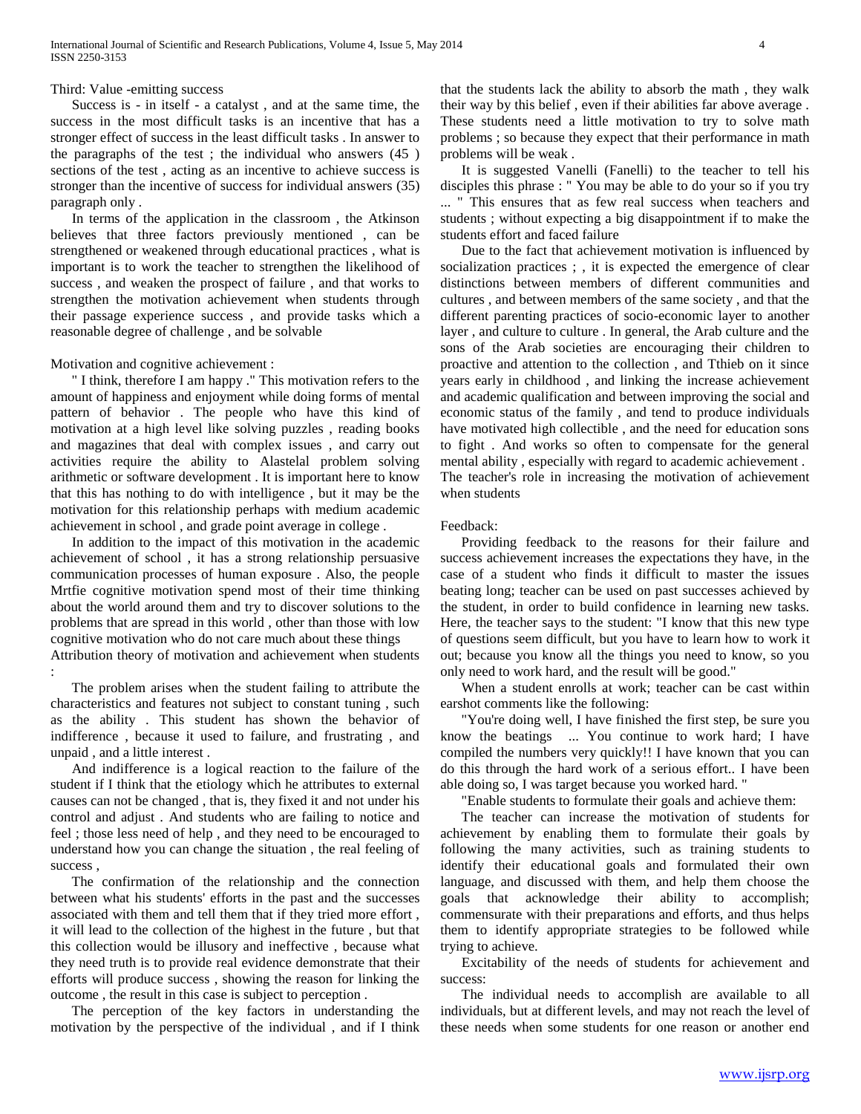Third: Value -emitting success

 Success is - in itself - a catalyst , and at the same time, the success in the most difficult tasks is an incentive that has a stronger effect of success in the least difficult tasks . In answer to the paragraphs of the test ; the individual who answers (45 ) sections of the test , acting as an incentive to achieve success is stronger than the incentive of success for individual answers (35) paragraph only .

 In terms of the application in the classroom , the Atkinson believes that three factors previously mentioned , can be strengthened or weakened through educational practices , what is important is to work the teacher to strengthen the likelihood of success , and weaken the prospect of failure , and that works to strengthen the motivation achievement when students through their passage experience success , and provide tasks which a reasonable degree of challenge , and be solvable

Motivation and cognitive achievement :

 " I think, therefore I am happy ." This motivation refers to the amount of happiness and enjoyment while doing forms of mental pattern of behavior . The people who have this kind of motivation at a high level like solving puzzles , reading books and magazines that deal with complex issues , and carry out activities require the ability to Alastelal problem solving arithmetic or software development . It is important here to know that this has nothing to do with intelligence , but it may be the motivation for this relationship perhaps with medium academic achievement in school , and grade point average in college .

 In addition to the impact of this motivation in the academic achievement of school , it has a strong relationship persuasive communication processes of human exposure . Also, the people Mrtfie cognitive motivation spend most of their time thinking about the world around them and try to discover solutions to the problems that are spread in this world , other than those with low cognitive motivation who do not care much about these things Attribution theory of motivation and achievement when students :

 The problem arises when the student failing to attribute the characteristics and features not subject to constant tuning , such as the ability . This student has shown the behavior of indifference , because it used to failure, and frustrating , and unpaid , and a little interest .

 And indifference is a logical reaction to the failure of the student if I think that the etiology which he attributes to external causes can not be changed , that is, they fixed it and not under his control and adjust . And students who are failing to notice and feel ; those less need of help , and they need to be encouraged to understand how you can change the situation , the real feeling of success ,

 The confirmation of the relationship and the connection between what his students' efforts in the past and the successes associated with them and tell them that if they tried more effort , it will lead to the collection of the highest in the future , but that this collection would be illusory and ineffective , because what they need truth is to provide real evidence demonstrate that their efforts will produce success , showing the reason for linking the outcome , the result in this case is subject to perception .

 The perception of the key factors in understanding the motivation by the perspective of the individual , and if I think that the students lack the ability to absorb the math , they walk their way by this belief , even if their abilities far above average . These students need a little motivation to try to solve math problems ; so because they expect that their performance in math problems will be weak .

 It is suggested Vanelli (Fanelli) to the teacher to tell his disciples this phrase : " You may be able to do your so if you try ... " This ensures that as few real success when teachers and students ; without expecting a big disappointment if to make the students effort and faced failure

 Due to the fact that achievement motivation is influenced by socialization practices ; , it is expected the emergence of clear distinctions between members of different communities and cultures , and between members of the same society , and that the different parenting practices of socio-economic layer to another layer , and culture to culture . In general, the Arab culture and the sons of the Arab societies are encouraging their children to proactive and attention to the collection , and Tthieb on it since years early in childhood , and linking the increase achievement and academic qualification and between improving the social and economic status of the family , and tend to produce individuals have motivated high collectible , and the need for education sons to fight . And works so often to compensate for the general mental ability , especially with regard to academic achievement . The teacher's role in increasing the motivation of achievement when students

#### Feedback:

 Providing feedback to the reasons for their failure and success achievement increases the expectations they have, in the case of a student who finds it difficult to master the issues beating long; teacher can be used on past successes achieved by the student, in order to build confidence in learning new tasks. Here, the teacher says to the student: "I know that this new type of questions seem difficult, but you have to learn how to work it out; because you know all the things you need to know, so you only need to work hard, and the result will be good."

 When a student enrolls at work; teacher can be cast within earshot comments like the following:

 "You're doing well, I have finished the first step, be sure you know the beatings ... You continue to work hard; I have compiled the numbers very quickly!! I have known that you can do this through the hard work of a serious effort.. I have been able doing so, I was target because you worked hard. "

"Enable students to formulate their goals and achieve them:

 The teacher can increase the motivation of students for achievement by enabling them to formulate their goals by following the many activities, such as training students to identify their educational goals and formulated their own language, and discussed with them, and help them choose the goals that acknowledge their ability to accomplish; commensurate with their preparations and efforts, and thus helps them to identify appropriate strategies to be followed while trying to achieve.

 Excitability of the needs of students for achievement and success:

 The individual needs to accomplish are available to all individuals, but at different levels, and may not reach the level of these needs when some students for one reason or another end